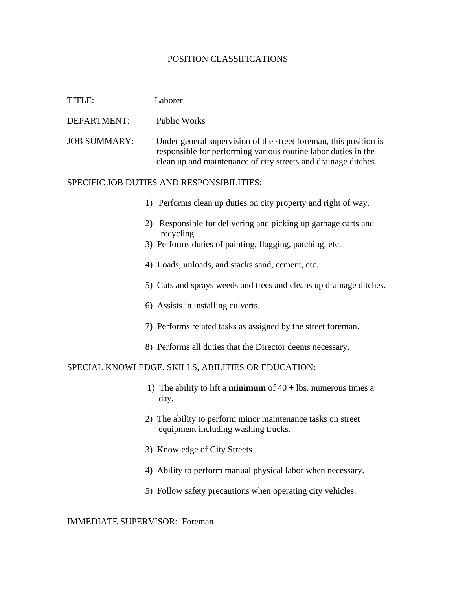## POSITION CLASSIFICATIONS

| TITLE:                                             | Laborer                                                                                                                                                                                               |
|----------------------------------------------------|-------------------------------------------------------------------------------------------------------------------------------------------------------------------------------------------------------|
| DEPARTMENT:                                        | <b>Public Works</b>                                                                                                                                                                                   |
| <b>JOB SUMMARY:</b>                                | Under general supervision of the street foreman, this position is<br>responsible for performing various routine labor duties in the<br>clean up and maintenance of city streets and drainage ditches. |
| SPECIFIC JOB DUTIES AND RESPONSIBILITIES:          |                                                                                                                                                                                                       |
|                                                    | 1) Performs clean up duties on city property and right of way.                                                                                                                                        |
|                                                    | Responsible for delivering and picking up garbage carts and<br>2)<br>recycling.                                                                                                                       |
|                                                    | 3) Performs duties of painting, flagging, patching, etc.                                                                                                                                              |
|                                                    | 4) Loads, unloads, and stacks sand, cement, etc.                                                                                                                                                      |
|                                                    | 5) Cuts and sprays weeds and trees and cleans up drainage ditches.                                                                                                                                    |
|                                                    | 6) Assists in installing culverts.                                                                                                                                                                    |
|                                                    | 7) Performs related tasks as assigned by the street foreman.                                                                                                                                          |
|                                                    | 8) Performs all duties that the Director deems necessary.                                                                                                                                             |
| SPECIAL KNOWLEDGE, SKILLS, ABILITIES OR EDUCATION: |                                                                                                                                                                                                       |
|                                                    | 1) The ability to lift a <b>minimum</b> of $40 +$ lbs. numerous times a<br>day.                                                                                                                       |
|                                                    | 2) The ability to perform minor maintenance tasks on street<br>equipment including washing trucks.                                                                                                    |
|                                                    | 3) Knowledge of City Streets                                                                                                                                                                          |
|                                                    | 4) Ability to perform manual physical labor when necessary.                                                                                                                                           |
|                                                    | 5) Follow safety precautions when operating city vehicles.                                                                                                                                            |

IMMEDIATE SUPERVISOR: Foreman